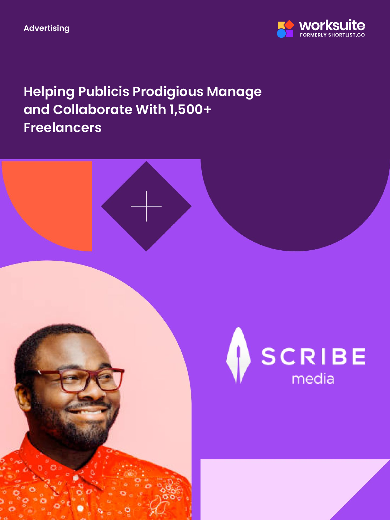**Advertising**



**Helping Publicis Prodigious Manage and Collaborate With 1,500+ Freelancers**

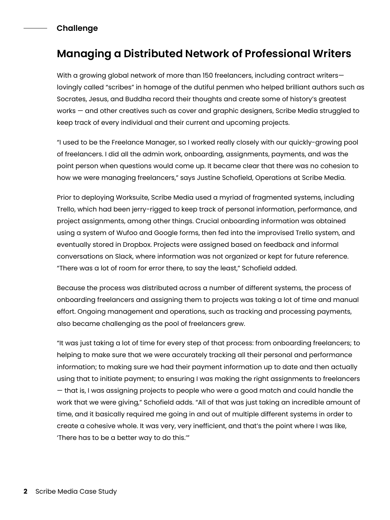### **Challenge**

## **Managing a Distributed Network of Professional Writers**

With a growing global network of more than 150 freelancers, including contract writers lovingly called "scribes" in homage of the dutiful penmen who helped brilliant authors such as Socrates, Jesus, and Buddha record their thoughts and create some of history's greatest works — and other creatives such as cover and graphic designers, Scribe Media struggled to keep track of every individual and their current and upcoming projects.

"I used to be the Freelance Manager, so I worked really closely with our quickly-growing pool of freelancers. I did all the admin work, onboarding, assignments, payments, and was the point person when questions would come up. It became clear that there was no cohesion to how we were managing freelancers," says Justine Schofield, Operations at Scribe Media.

Prior to deploying Worksuite, Scribe Media used a myriad of fragmented systems, including Trello, which had been jerry-rigged to keep track of personal information, performance, and project assignments, among other things. Crucial onboarding information was obtained using a system of Wufoo and Google forms, then fed into the improvised Trello system, and eventually stored in Dropbox. Projects were assigned based on feedback and informal conversations on Slack, where information was not organized or kept for future reference. "There was a lot of room for error there, to say the least," Schofield added.

Because the process was distributed across a number of different systems, the process of onboarding freelancers and assigning them to projects was taking a lot of time and manual effort. Ongoing management and operations, such as tracking and processing payments, also became challenging as the pool of freelancers grew.

"It was just taking a lot of time for every step of that process: from onboarding freelancers; to helping to make sure that we were accurately tracking all their personal and performance information; to making sure we had their payment information up to date and then actually using that to initiate payment; to ensuring I was making the right assignments to freelancers — that is, I was assigning projects to people who were a good match and could handle the work that we were giving," Schofield adds. "All of that was just taking an incredible amount of time, and it basically required me going in and out of multiple different systems in order to create a cohesive whole. It was very, very inefficient, and that's the point where I was like, 'There has to be a better way to do this.'"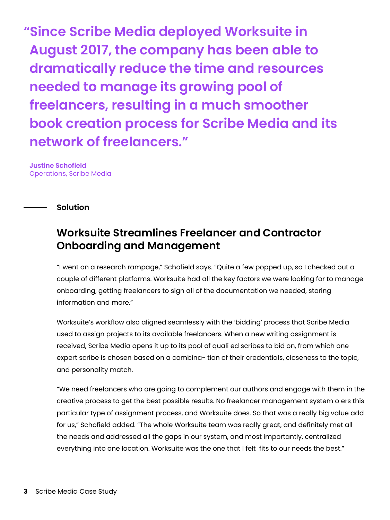**"Since Scribe Media deployed Worksuite in August 2017, the company has been able to dramatically reduce the time and resources needed to manage its growing pool of freelancers, resulting in a much smoother book creation process for Scribe Media and its network of freelancers."**

**Justine Schofield** Operations, Scribe Media

**Solution**

## **Worksuite Streamlines Freelancer and Contractor Onboarding and Management**

"I went on a research rampage," Schofield says. "Quite a few popped up, so I checked out a couple of different platforms. Worksuite had all the key factors we were looking for to manage onboarding, getting freelancers to sign all of the documentation we needed, storing information and more."

Worksuite's workflow also aligned seamlessly with the 'bidding' process that Scribe Media used to assign projects to its available freelancers. When a new writing assignment is received, Scribe Media opens it up to its pool of quali ed scribes to bid on, from which one expert scribe is chosen based on a combina- tion of their credentials, closeness to the topic, and personality match.

"We need freelancers who are going to complement our authors and engage with them in the creative process to get the best possible results. No freelancer management system o ers this particular type of assignment process, and Worksuite does. So that was a really big value add for us," Schofield added. "The whole Worksuite team was really great, and definitely met all the needs and addressed all the gaps in our system, and most importantly, centralized everything into one location. Worksuite was the one that I felt fits to our needs the best."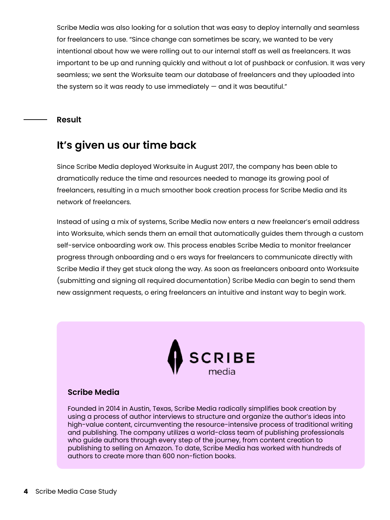Scribe Media was also looking for a solution that was easy to deploy internally and seamless for freelancers to use. "Since change can sometimes be scary, we wanted to be very intentional about how we were rolling out to our internal staff as well as freelancers. It was important to be up and running quickly and without a lot of pushback or confusion. It was very seamless; we sent the Worksuite team our database of freelancers and they uploaded into the system so it was ready to use immediately  $-$  and it was beautiful."

#### **Result**

## **It's given us our time back**

Since Scribe Media deployed Worksuite in August 2017, the company has been able to dramatically reduce the time and resources needed to manage its growing pool of freelancers, resulting in a much smoother book creation process for Scribe Media and its network of freelancers.

Instead of using a mix of systems, Scribe Media now enters a new freelancer's email address into Worksuite, which sends them an email that automatically guides them through a custom self-service onboarding work ow. This process enables Scribe Media to monitor freelancer progress through onboarding and o ers ways for freelancers to communicate directly with Scribe Media if they get stuck along the way. As soon as freelancers onboard onto Worksuite (submitting and signing all required documentation) Scribe Media can begin to send them new assignment requests, o ering freelancers an intuitive and instant way to begin work.



#### **Scribe Media**

Founded in 2014 in Austin, Texas, Scribe Media radically simplifies book creation by using a process of author interviews to structure and organize the author's ideas into high-value content, circumventing the resource-intensive process of traditional writing and publishing. The company utilizes a world-class team of publishing professionals who guide authors through every step of the journey, from content creation to publishing to selling on Amazon. To date, Scribe Media has worked with hundreds of authors to create more than 600 non-fiction books.